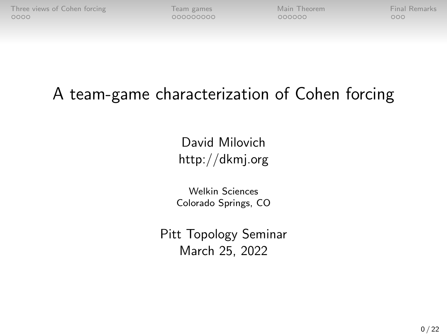# A team-game characterization of Cohen forcing

David Milovich http://dkmj.org

Welkin Sciences Colorado Springs, CO

Pitt Topology Seminar March 25, 2022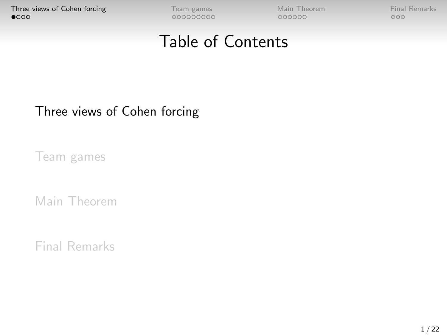## Table of Contents

#### <span id="page-1-0"></span>[Three views of Cohen forcing](#page-1-0)

[Team games](#page-5-0)

[Main Theorem](#page-14-0)

[Final Remarks](#page-20-0)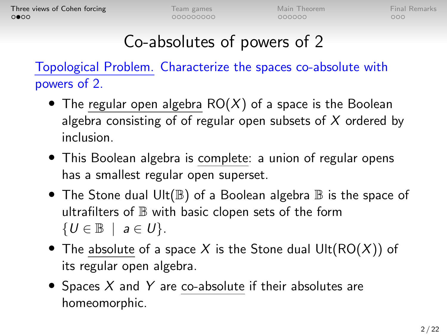$000$ 

# Co-absolutes of powers of 2

Topological Problem. Characterize the spaces co-absolute with powers of 2.

- The regular open algebra  $RO(X)$  of a space is the Boolean algebra consisting of of regular open subsets of  $X$  ordered by inclusion.
- This Boolean algebra is complete: a union of regular opens has a smallest regular open superset.
- The Stone dual Ult( $\mathbb B$ ) of a Boolean algebra  $\mathbb B$  is the space of ultrafilters of  $\mathbb B$  with basic clopen sets of the form  $\{U \in \mathbb{B} \mid a \in U\}.$
- The absolute of a space X is the Stone dual  $Ult(RO(X))$  of its regular open algebra.
- Spaces X and Y are co-absolute if their absolutes are homeomorphic.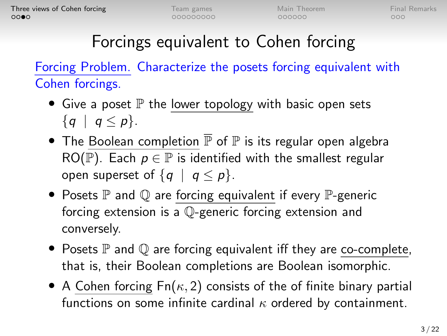$000$ 

# Forcings equivalent to Cohen forcing

Forcing Problem. Characterize the posets forcing equivalent with Cohen forcings.

- Give a poset  $\mathbb P$  the lower topology with basic open sets  $\{q \mid q \leq p\}.$
- The Boolean completion  $\overline{P}$  of  $P$  is its regular open algebra RO(P). Each  $p \in \mathbb{P}$  is identified with the smallest regular open superset of  $\{q \mid q \leq p\}$ .
- Posets  $\mathbb P$  and  $\mathbb O$  are forcing equivalent if every  $\mathbb P$ -generic forcing extension is a Q-generic forcing extension and conversely.
- Posets  $\mathbb P$  and  $\mathbb Q$  are forcing equivalent iff they are co-complete, that is, their Boolean completions are Boolean isomorphic.
- A Cohen forcing  $Fn(\kappa, 2)$  consists of the of finite binary partial functions on some infinite cardinal  $\kappa$  ordered by containment.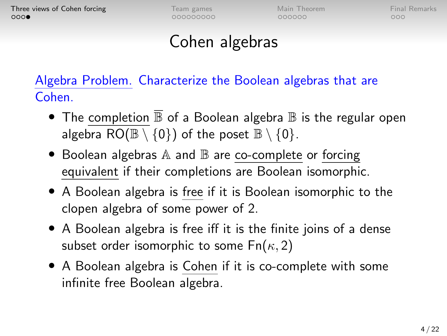$000000$ 

 $000$ 

## Cohen algebras

Algebra Problem. Characterize the Boolean algebras that are Cohen.

- The completion  $\overline{\mathbb{B}}$  of a Boolean algebra  $\mathbb B$  is the regular open algebra RO( $\mathbb{B} \setminus \{0\}$ ) of the poset  $\mathbb{B} \setminus \{0\}$ .
- $\bullet$  Boolean algebras  $\mathbb A$  and  $\mathbb B$  are co-complete or forcing equivalent if their completions are Boolean isomorphic.
- A Boolean algebra is free if it is Boolean isomorphic to the clopen algebra of some power of 2.
- A Boolean algebra is free iff it is the finite joins of a dense subset order isomorphic to some  $Fn(\kappa, 2)$
- A Boolean algebra is Cohen if it is co-complete with some infinite free Boolean algebra.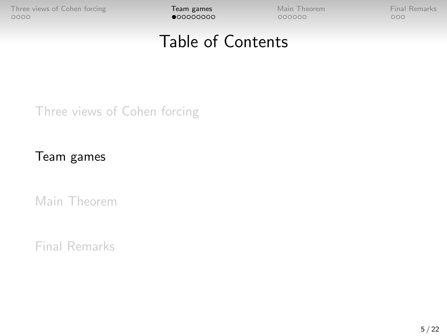## Table of Contents

<span id="page-5-0"></span>[Three views of Cohen forcing](#page-1-0)

[Team games](#page-5-0)

[Main Theorem](#page-14-0)

[Final Remarks](#page-20-0)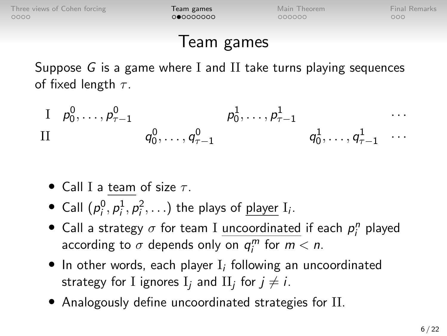$000000$ 

## Team games

Suppose G is a game where I and II take turns playing sequences of fixed length  $\tau$ .

 $\Box p^0_0, \ldots, p^0_{\tau-1}$   $p^1_0, \ldots, p^1_{\tau-1}$   $\cdots$  $q_0^0,\ldots,q_{\tau-1}^0\qquad \qquad q_0^1,\ldots,q_{\tau-1}^1\quad\cdots$ 

- Call I a team of size  $\tau$ .
- Call  $(p_i^0, p_i^1, p_i^2, ...)$  the plays of <u>player</u> I<sub>i</sub>.
- Call a strategy  $\sigma$  for team I <u>uncoordinated</u> if each  $p_i^n$  played according to  $\sigma$  depends only on  $q_i^m$  for  $m < n$ .
- $\bullet$  In other words, each player  $I_i$  following an uncoordinated strategy for I ignores  $\mathrm{I}_j$  and  $\mathrm{II}_j$  for  $j\neq i.$
- Analogously define uncoordinated strategies for II.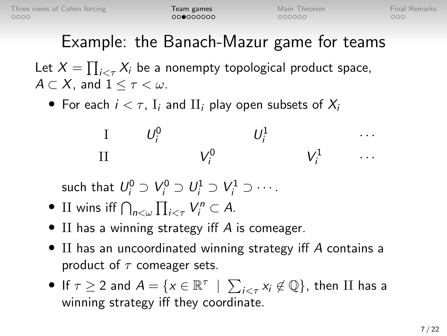# Example: the Banach-Mazur game for teams

Let  $X=\prod_{i<\tau}X_i$  be a nonempty topological product space,  $A \subset X$ , and  $1 \leq \tau \lt \omega$ .

• For each  $i < \tau$ , I<sub>i</sub> and II<sub>i</sub> play open subsets of  $X_i$ 

$$
\begin{array}{ccccccccc}\nI & & U_i^0 & & & U_i^1 & & & \cdots \\
II & & & V_i^0 & & & V_i^1 & & \cdots\n\end{array}
$$

such that  $U_i^0 \supset V_i^0 \supset U_i^1 \supset V_i^1 \supset \cdots$ .

- II wins iff  $\bigcap_{n<\omega}\prod_{i<\tau}V_i^n\subset A$ .
- II has a winning strategy iff A is comeager.
- II has an uncoordinated winning strategy iff A contains a product of  $\tau$  comeager sets.
- If  $\tau \geq 2$  and  $A = \{x \in \mathbb{R}^\tau \; \mid \; \sum_{i < \tau} x_i \not\in \mathbb{Q} \}$ , then  $\Pi$  has a winning strategy iff they coordinate.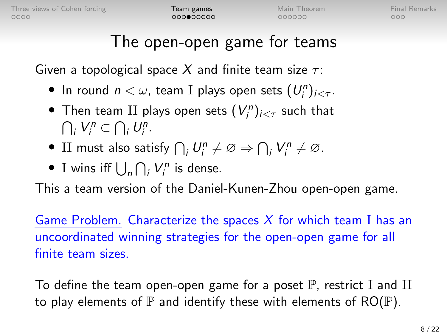$000000$ 

 $000$ 

# The open-open game for teams

Given a topological space X and finite team size  $\tau$ :

- In round  $n < \omega$ , team I plays open sets  $(U_i^n)_{i < \tau}$ .
- $\bullet$  Then team II plays open sets  $(V^n_i)_{i < \tau}$  such that  $\bigcap_i V_i^n \subset \bigcap_i U_i^n$ .
- II must also satisfy  $\bigcap_i U_i^n \neq \emptyset \Rightarrow \bigcap_i V_i^n \neq \emptyset$ .
- I wins iff  $\bigcup_n \bigcap_i V_i^n$  is dense.

This a team version of the Daniel-Kunen-Zhou open-open game.

Game Problem. Characterize the spaces  $X$  for which team I has an uncoordinated winning strategies for the open-open game for all finite team sizes.

To define the team open-open game for a poset  $\mathbb P$ , restrict I and II to play elements of  $\mathbb P$  and identify these with elements of RO( $\mathbb P$ ).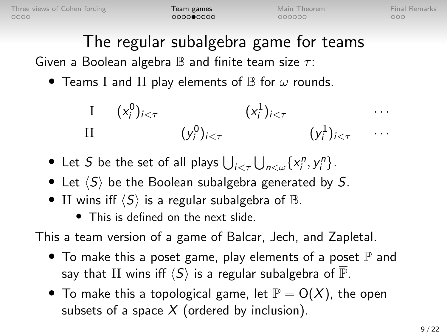$000000$ 

 $000$ 

# The regular subalgebra game for teams

Given a Boolean algebra  $\mathbb B$  and finite team size  $\tau$ :

• Teams I and II play elements of  $\mathbb B$  for  $\omega$  rounds.

$$
\begin{array}{ccc}\nI & (x_i^0)_{i < \tau} & (x_i^1)_{i < \tau} & \cdots \\
II & (y_i^0)_{i < \tau} & (y_i^1)_{i < \tau} & \cdots\n\end{array}
$$

- Let S be the set of all plays  $\bigcup_{i < \tau} \bigcup_{n < \omega} \{x_i^n, y_i^n\}$ .
- Let  $\langle S \rangle$  be the Boolean subalgebra generated by S.
- II wins iff  $\langle S \rangle$  is a regular subalgebra of  $\mathbb{B}$ .
	- This is defined on the next slide.

This a team version of a game of Balcar, Jech, and Zapletal.

- To make this a poset game, play elements of a poset  $\mathbb P$  and say that II wins iff  $\langle S \rangle$  is a regular subalgebra of  $\overline{\mathbb{P}}$ .
- To make this a topological game, let  $\mathbb{P} = O(X)$ , the open subsets of a space  $X$  (ordered by inclusion).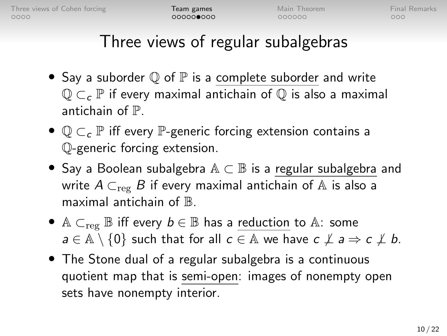$000$ 

# Three views of regular subalgebras

- Say a suborder  $\mathbb Q$  of  $\mathbb P$  is a complete suborder and write  $\mathbb{Q} \subset_{c} \mathbb{P}$  if every maximal antichain of  $\mathbb{Q}$  is also a maximal antichain of P.
- $\mathbb{Q} \subset_{c} \mathbb{P}$  iff every  $\mathbb{P}$ -generic forcing extension contains a Q-generic forcing extension.
- Say a Boolean subalgebra  $\mathbb{A} \subset \mathbb{B}$  is a regular subalgebra and write  $A \subset_{\text{reg}} B$  if every maximal antichain of A is also a maximal antichain of  $\mathbb{B}$ .
- A  $\subset_{\text{reg}} \mathbb{B}$  iff every  $b \in \mathbb{B}$  has a reduction to A: some  $a \in \mathbb{A} \setminus \{0\}$  such that for all  $c \in \mathbb{A}$  we have  $c \not\perp a \Rightarrow c \not\perp b$ .
- The Stone dual of a regular subalgebra is a continuous quotient map that is semi-open: images of nonempty open sets have nonempty interior.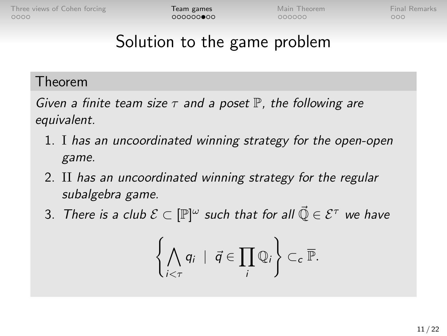$000$ 

# Solution to the game problem

#### Theorem

Given a finite team size  $\tau$  and a poset  $\mathbb P$ , the following are equivalent.

- 1. I has an uncoordinated winning strategy for the open-open game.
- 2. II has an uncoordinated winning strategy for the regular subalgebra game.
- 3. There is a club  $\mathcal{E} \subset [\mathbb{P}]^{\omega}$  such that for all  $\vec{\mathbb{Q}} \in \mathcal{E}^\tau$  we have

$$
\left\{\bigwedge_{i<\tau} q_i \mid \vec{q} \in \prod_i \mathbb{Q}_i\right\} \subset_c \overline{\mathbb{P}}.
$$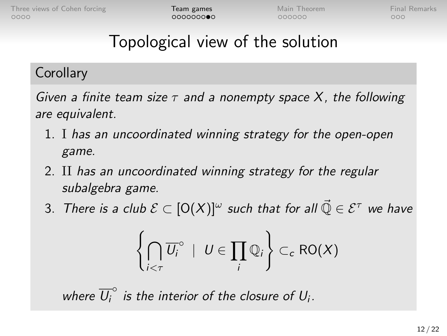# Topological view of the solution

#### **Corollary**

Given a finite team size  $\tau$  and a nonempty space X, the following are equivalent.

- 1. I has an uncoordinated winning strategy for the open-open game.
- 2. II has an uncoordinated winning strategy for the regular subalgebra game.
- 3. There is a club  $\mathcal{E}\subset \left[\mathsf{O}(X)\right]^{\omega}$  such that for all  $\vec{\mathbb{Q}}\in \mathcal{E}^\tau$  we have

$$
\left\{\bigcap_{i<\tau}\overline{U_i}^{\circ} \ | \ U\in\prod_i\mathbb{Q}_i\right\}\subset_c \mathsf{RO}(X)
$$

where  $\overline{U_i}^{\circ}$  is the interior of the closure of  $U_i$ .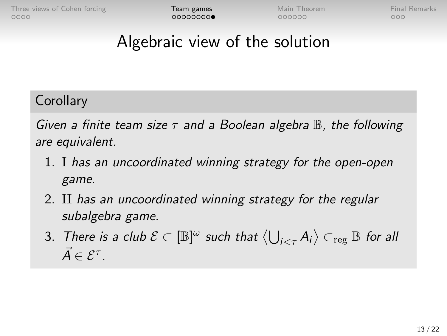$000$ 

## Algebraic view of the solution

**Corollary** 

Given a finite team size  $\tau$  and a Boolean algebra  $\mathbb B$ , the following are equivalent.

- 1. I has an uncoordinated winning strategy for the open-open game.
- 2. II has an uncoordinated winning strategy for the regular subalgebra game.
- 3. There is a club  $\mathcal{E}\subset [\mathbb{B}]^{\omega}$  such that  $\big\langle \bigcup_{i<\tau} A_i\big\rangle \subset_{\mathrm{reg}} \mathbb{B}$  for all  $\vec{A} \in \mathcal{E}^{\tau}$ .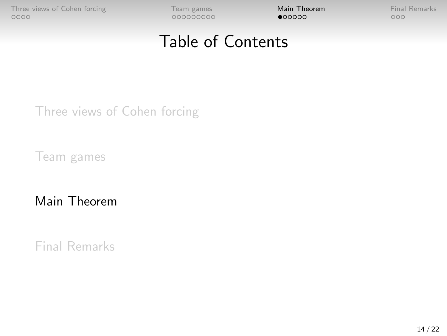## Table of Contents

<span id="page-14-0"></span>[Three views of Cohen forcing](#page-1-0)

[Team games](#page-5-0)

[Main Theorem](#page-14-0)

[Final Remarks](#page-20-0)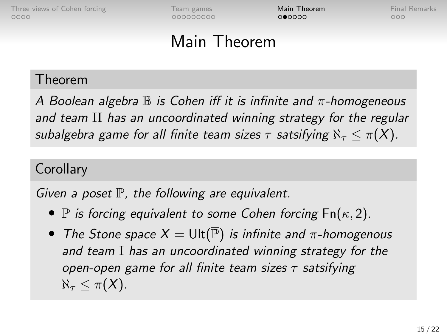000000000

 $000000$ 

 $000$ 

## Main Theorem

#### Theorem

A Boolean algebra  $\mathbb B$  is Cohen iff it is infinite and  $\pi$ -homogeneous and team II has an uncoordinated winning strategy for the regular subalgebra game for all finite team sizes  $\tau$  satsifying  $\aleph_{\tau} < \pi(X)$ .

#### **Corollary**

Given a poset  $\mathbb P$ , the following are equivalent.

- $\mathbb P$  is forcing equivalent to some Cohen forcing  $\mathsf{Fn}(\kappa,2)$ .
- The Stone space  $X = \text{Ult}(\overline{\mathbb{P}})$  is infinite and  $\pi$ -homogenous and team I has an uncoordinated winning strategy for the open-open game for all finite team sizes  $\tau$  satsifying  $\aleph_{\tau} < \pi(X)$ .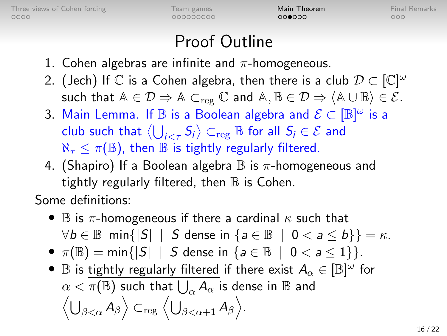000000000

 $000000$ 

 $000$ 

# Proof Outline

- 1. Cohen algebras are infinite and  $\pi$ -homogeneous.
- 2. (Jech) If  $\mathbb C$  is a Cohen algebra, then there is a club  $\mathcal D \subset [\mathbb C]^\omega$ such that  $A \in \mathcal{D} \Rightarrow A \subset_{reg} \mathbb{C}$  and  $A, B \in \mathcal{D} \Rightarrow \langle A \cup B \rangle \in \mathcal{E}$ .
- 3. Main Lemma. If  $\mathbb B$  is a Boolean algebra and  $\mathcal E\subset [\mathbb B]^{\omega}$  is a club such that  $\big\langle \bigcup_{i<\tau}S_i\big\rangle\subset_{\text{reg}}\mathbb{B}$  for all  $S_i\in\mathcal{E}$  and  $\aleph_{\tau} \leq \pi(\mathbb{B})$ , then  $\mathbb B$  is tightly regularly filtered.
- 4. (Shapiro) If a Boolean algebra  $\mathbb B$  is  $\pi$ -homogeneous and tightly regularly filtered, then  $\mathbb B$  is Cohen.

Some definitions:

- $\mathbb B$  is  $\pi$ -homogeneous if there a cardinal  $\kappa$  such that  $\forall b \in \mathbb{B}$  min{ $|S|$  | S dense in  $\{a \in \mathbb{B} \mid 0 < a \le b\}\} = \kappa$ .
- $\pi(\mathbb{B}) = \min\{|S| | S \text{ dense in } \{a \in \mathbb{B} | 0 < a < 1\}\}.$
- $\mathbb B$  is tightly regularly filtered if there exist  $A_\alpha \in [\mathbb B]^\omega$  for  $\alpha < \overline{\pi(\mathbb{B})}$  such that  $\overline{\bigcup_{\alpha}A_{\alpha}}$  is dense in  $\mathbb B$  and  $\left\langle \bigcup_{\beta<\alpha}A_{\beta}\right\rangle \subset_{\text{reg}}\left\langle \bigcup_{\beta<\alpha+1}A_{\beta}\right\rangle.$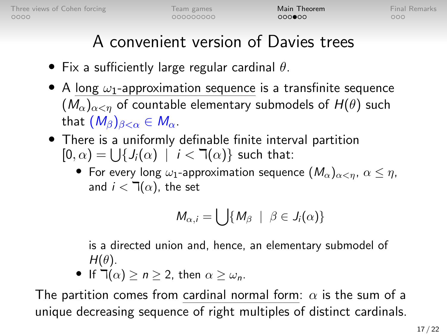$000000$ 

 $000$ 

# A convenient version of Davies trees

- Fix a sufficiently large regular cardinal  $\theta$ .
- A long  $\omega_1$ -approximation sequence is a transfinite sequence  $(M_{\alpha})_{\alpha\leq n}$  of countable elementary submodels of  $H(\theta)$  such that  $(M_\beta)_{\beta<\alpha}\in M_\alpha$ .
- There is a uniformly definable finite interval partition  $[0, \alpha) = \bigcup \{ J_i(\alpha) \mid i < \mathbb{k}(\alpha) \}$  such that:
	- For every long  $\omega_1$ -approximation sequence  $(M_\alpha)_{\alpha < n}, \ \alpha \leq \eta$ , and  $i < \mathbb{I}(\alpha)$ , the set

$$
M_{\alpha,i}=\bigcup\{M_\beta\ \mid\ \beta\in J_i(\alpha)\}
$$

is a directed union and, hence, an elementary submodel of  $H(\theta)$ .

• If  $\exists (\alpha) > n > 2$ , then  $\alpha > \omega_n$ .

The partition comes from cardinal normal form:  $\alpha$  is the sum of a unique decreasing sequence of right multiples of distinct cardinals.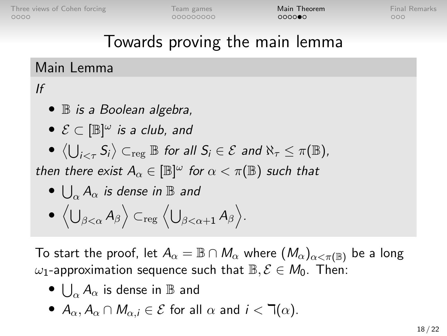റററാ⊕റ

 $000$ 

## Towards proving the main lemma

#### Main Lemma

#### If

- **B** is a Boolean algebra,
- $\bullet \ \mathcal{E} \subset [\mathbb{B}]^{\omega}$  is a club, and
- $\bullet \langle \bigcup_{i<\tau} S_i \rangle \subset_{\mathrm{reg}} \mathbb{B}$  for all  $S_i \in \mathcal{E}$  and  $\aleph_{\tau} \leq \pi(\mathbb{B})$ ,

then there exist  $A_\alpha \in [\mathbb{B}]^\omega$  for  $\alpha < \pi(\mathbb{B})$  such that

$$
\bullet \ \bigcup_{\alpha} A_{\alpha} \ \text{is dense in} \ \mathbb{B} \ \text{and}
$$

$$
\bullet\ \left\langle\bigcup\nolimits_{\beta<\alpha}A_{\beta}\right\rangle \subset_{\rm reg}\left\langle\bigcup\nolimits_{\beta<\alpha+1}A_{\beta}\right\rangle.
$$

To start the proof, let  $A_\alpha = \mathbb{B} \cap M_\alpha$  where  $(M_\alpha)_{\alpha<\pi(\mathbb{B})}$  be a long  $ω_1$ -approximation sequence such that  $\mathbb{B}, \mathcal{E} \in M_0$ . Then:

- $\bullet\ \bigcup_{\alpha} A_{\alpha}$  is dense in  $\mathbb B$  and
- $A_{\alpha}, A_{\alpha} \cap M_{\alpha}$   $i \in \mathcal{E}$  for all  $\alpha$  and  $i < \mathbb{T}(\alpha)$ .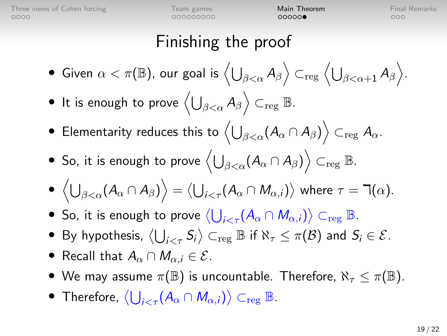| Team games |
|------------|
| 000000000  |

 $00000$ 

 $000$ 

#### Finishing the proof

- $\bullet\,$  Given  $\alpha<\pi(\mathbb{B}),$  our goal is  $\left\langle\bigcup_{\beta<\alpha}A_{\beta}\right\rangle\subset_{\rm reg}\left\langle\bigcup_{\beta<\alpha+1}A_{\beta}\right\rangle.$
- $\bullet$  It is enough to prove  $\left\langle \bigcup_{\beta<\alpha} A_\beta \right\rangle \subset_{\mathrm{reg}} \mathbb{B}.$
- $\bullet\,$  Elementarity reduces this to  $\left\langle\bigcup_{\beta<\alpha} (A_\alpha\cap A_\beta)\right\rangle\subset_\mathrm{reg} A_\alpha.$
- $\bullet\,$  So, it is enough to prove  $\left\langle\bigcup_{\beta<\alpha} (A_{\alpha}\cap A_{\beta})\right\rangle \subset_{\mathrm{reg}}\mathbb{B}.$
- $\big\langle \bigcup_{\beta<\alpha} (A_{\alpha}\cap A_{\beta})\big\rangle = \big\langle \bigcup_{i<\tau} (A_{\alpha}\cap M_{\alpha,i})\big\rangle$  where  $\tau=\daleth(\alpha).$
- So, it is enough to prove  $\left\langle \bigcup_{i<\tau}(A_{\alpha}\cap M_{\alpha,i})\right\rangle \subset_{\mathrm{reg}}\mathbb{B}.$
- By hypothesis,  $\big\langle \bigcup_{i<\tau} S_i \big\rangle \subset_{\mathrm{reg}} \mathbb{B}$  if  $\aleph_\tau \leq \pi(\mathcal{B})$  and  $S_i \in \mathcal{E}$ .
- Recall that  $A_{\alpha} \cap M_{\alpha i} \in \mathcal{E}$ .
- We may assume  $\pi(\mathbb{B})$  is uncountable. Therefore,  $\aleph_{\tau} \leq \pi(\mathbb{B})$ .
- Therefore,  $\left\langle \bigcup_{i<\tau}(A_{\alpha}\cap M_{\alpha,i})\right\rangle \subset_{\text{reg}}\mathbb{B}.$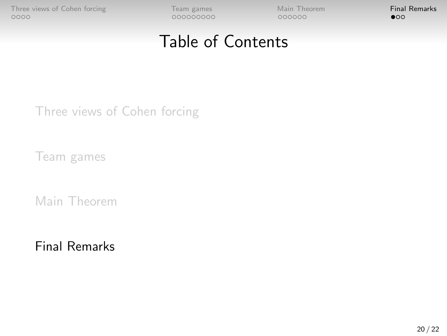<span id="page-20-0"></span>[Three views of Cohen forcing](#page-1-0) Team Steam games [Main Theorem](#page-14-0) **[Final Remarks](#page-20-0)**<br>  $\frac{1}{20000}$ 

## Table of Contents

[Three views of Cohen forcing](#page-1-0)

[Team games](#page-5-0)

[Main Theorem](#page-14-0)

[Final Remarks](#page-20-0)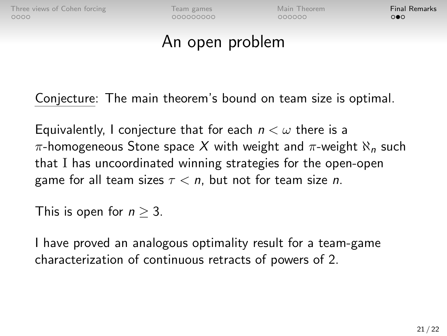$000000$ 

 $\Omega$ 

#### An open problem

Conjecture: The main theorem's bound on team size is optimal.

Equivalently, I conjecture that for each  $n < \omega$  there is a  $\pi$ -homogeneous Stone space X with weight and  $\pi$ -weight  $\aleph_n$  such that I has uncoordinated winning strategies for the open-open game for all team sizes  $\tau < n$ , but not for team size *n*.

This is open for  $n > 3$ .

I have proved an analogous optimality result for a team-game characterization of continuous retracts of powers of 2.